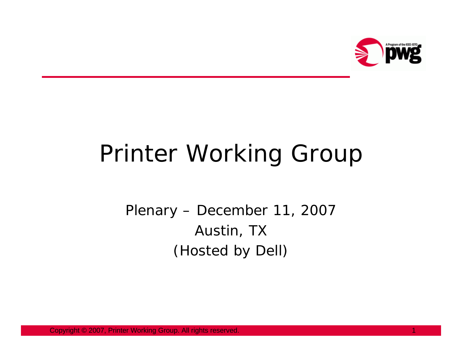

# Printer Working Group

Plenary – December 11, 2007 Austin, TX (Hosted by Dell)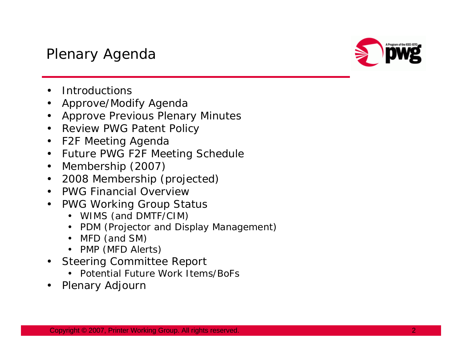#### Plenary Agenda



- •Introductions
- $\bullet$ Approve/Modify Agenda
- Approve Previous Plenary Minutes
- Review PWG Patent Policy
- F2F Meeting Agenda
- $\bullet$ Future PWG F2F Meeting Schedule
- $\bullet$ Membership (2007)
- •2008 Membership (projected)
- •PWG Financial Overview
- $\bullet$  PWG Working Group Status
	- WIMS (and DMTF/CIM)
	- PDM (Projector and Display Management)
	- MFD (and SM)
	- PMP (MFD Alerts)
- Steering Committee Report
	- Potential Future Work Items/BoFs
- •Plenary Adjourn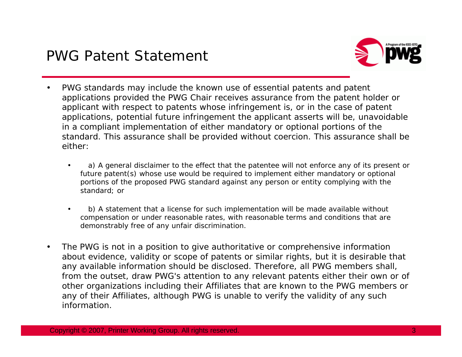

- •PWG standards may include the known use of essential patents and patent applications provided the PWG Chair receives assurance from the patent holder or applicant with respect to patents whose infringement is, or in the case of patent applications, potential future infringement the applicant asserts will be, unavoidable in a compliant implementation of either mandatory or optional portions of the standard. This assurance shall be provided without coercion. This assurance shall be either:
	- • a) A general disclaimer to the effect that the patentee will not enforce any of its present or future patent(s) whose use would be required to implement either mandatory or optional portions of the proposed PWG standard against any person or entity complying with the standard; or
	- • b) A statement that a license for such implementation will be made available without compensation or under reasonable rates, with reasonable terms and conditions that are demonstrably free of any unfair discrimination.
- • The PWG is not in a position to give authoritative or comprehensive information about evidence, validity or scope of patents or similar rights, but it is desirable that any available information should be disclosed. Therefore, all PWG members shall, from the outset, draw PWG's attention to any relevant patents either their own or of other organizations including their Affiliates that are known to the PWG members or any of their Affiliates, although PWG is unable to verify the validity of any such information.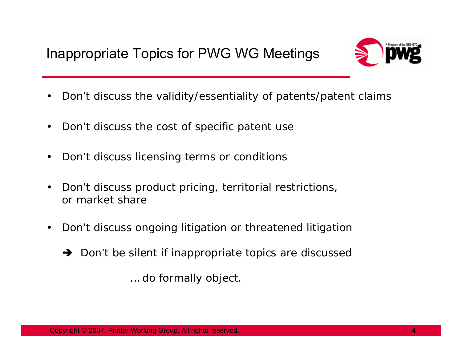

- •Don't discuss the validity/essentiality of patents/patent claims
- $\bullet$ Don't discuss the cost of specific patent use
- $\bullet$ Don't discuss licensing terms or conditions
- • Don't discuss product pricing, territorial restrictions, or market share
- $\bullet$  Don't discuss ongoing litigation or threatened litigation
	- $\rightarrow$  Don't be silent if inappropriate topics are discussed

… do formally object.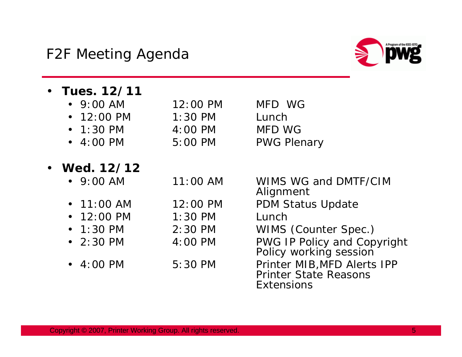•

•



- **Tues. 12/11**•  $9:00$  AM 12:00 PM MFD WG • 12:00 PM 1:30 PM Lunch •  $1:30 \text{ PM}$  $4:00 \text{ PM}$  MFD WG  $-4:00 \, \text{PM}$ 5:00 PM PWG Plenary **Wed. 12/12**•  $9:00$  AM 9:00 AM 11:00 AM WIMS WG and DMTF/CIM Alignment  $\cdot$  11:00 AM 12:00 PM PDM Status Update • 12:00 PM 1:30 PM Lunch •  $1:30 \text{ PM}$  1:30 PM 2:30 PM WIMS (Counter Spec.) •  $2:30 \text{ PM}$  2:30 PM 4:00 PM PWG IP Policy and Copyright Policy working session •  $4:00 \text{ PM}$ 
	- 4:00 PM 5:30 PM Printer MIB,MFD Alerts IPP Printer State Reasons **Extensions**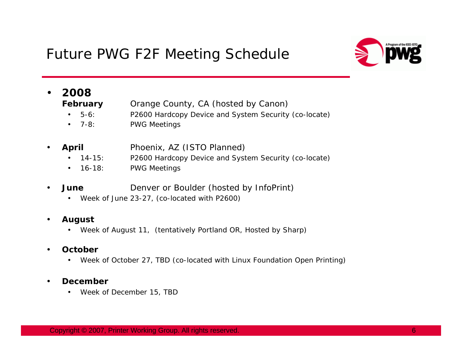#### Future PWG F2F Meeting Schedule



#### •**2008**

•

**February** Orange County, CA (hosted by Canon)

- •5-6: P2600 Hardcopy Device and System Security (co-locate)
- $-7-8$ : PWG Meetings
- **April** Phoenix, AZ (ISTO Planned)
	- •14-15: P2600 Hardcopy Device and System Security (co-locate)
	- •16-18: PWG Meetings
- •**June Denver or Boulder (hosted by InfoPrint)** 
	- Week of June 23-27, (co-located with P2600)

#### •**August**

• Week of August 11, (tentatively Portland OR, Hosted by Sharp)

#### •**October**

• Week of October 27, TBD (co-located with Linux Foundation Open Printing)

#### •**December**

•Week of December 15, TBD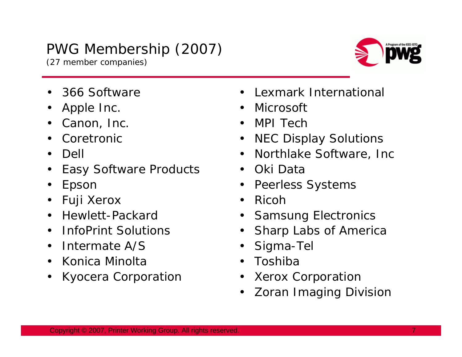#### PWG Membership (2007)

(27 member companies)



- •366 Software
- $\bullet$ Apple Inc.
- •Canon, Inc.
- •Coretronic
- •Dell
- •Easy Software Products
- •Epson
- •Fuji Xerox
- •Hewlett-Packard
- •InfoPrint Solutions
- Intermate A/S
- •Konica Minolta
- •Kyocera Corporation
- •Lexmark International
- Microsoft
- MPI Tech
- NEC Display Solutions
- Northlake Software, Inc
- Oki Data
- $\bullet$ Peerless Systems
- •Ricoh
- Samsung Electronics
- •Sharp Labs of America
- •Sigma-Tel
- •Toshiba
- $\bullet$ Xerox Corporation
- •Zoran Imaging Division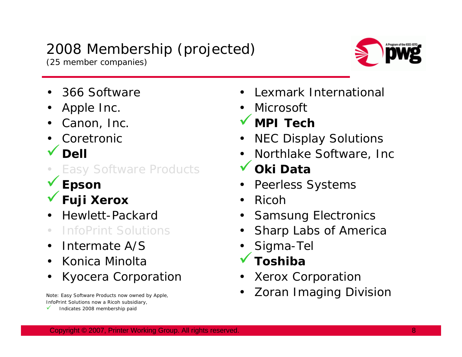### 2008 Membership (projected)

(25 member companies)



- •366 Software
- •Apple Inc.
- •Canon, Inc.
- •Coretronic
- $\sqrt{}$  Dell
- Easy Software Products <sup>9</sup>**Epson** <sup>9</sup>**Fuji Xerox**
- 
- 
- •Hewlett-Packard
- •InfoPrint Solutions
- •Intermate A/S
- •Konica Minolta
- •Kyocera Corporation

InfoPrint Solutions now a Ricoh subsidiary,

 $\checkmark$ Indicates 2008 membership paid

- •Lexmark International
- •Microsoft
- $\checkmark$ **MPI Tech**
- •NEC Display Solutions
- •Northlake Software, Inc
- $\checkmark$ **Oki Data**
- $\bullet$ Peerless Systems
- •Ricoh
- •Samsung Electronics
- •Sharp Labs of America
- •Sigma-Tel<br>Toshiba
- 
- •Xerox Corporation
- Note: Easy Software Products now owned by Apple,  **Zoran Imaging Division**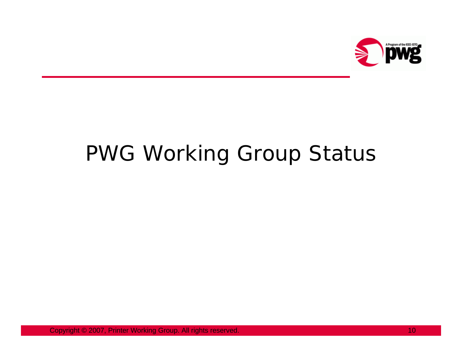

# PWG Working Group Status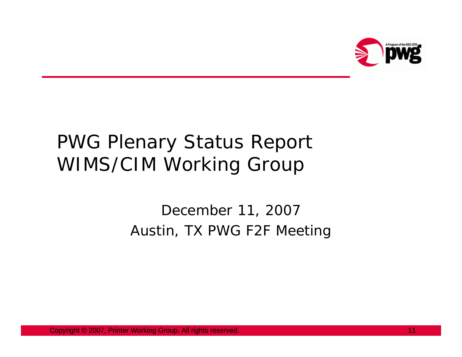

## PWG Plenary Status Report WIMS/CIM Working Group

#### December 11, 2007 Austin, TX PWG F2F Meeting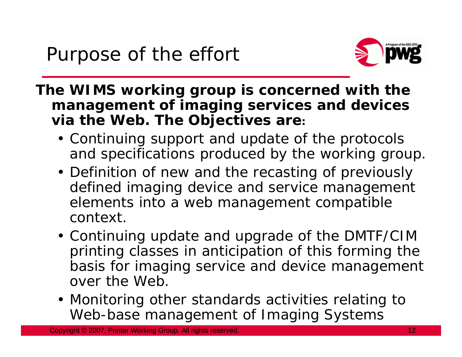

**The WIMS working group is concerned with the management of imaging services and devices via the Web. The Objectives are:** 

- Continuing support and update of the protocols and specifications produced by the working group.
- Definition of new and the recasting of previously defined imaging device and service management elements into a web management compatible context.
- Continuing update and upgrade of the DMTF/CIM printing classes in anticipation of this forming the basis for imaging service and device management over the Web.
- Monitoring other standards activities relating to Web-base management of Imaging Systems

Copyright © 2007, Printer Working Group. All rights reserved. 12 reserved. 12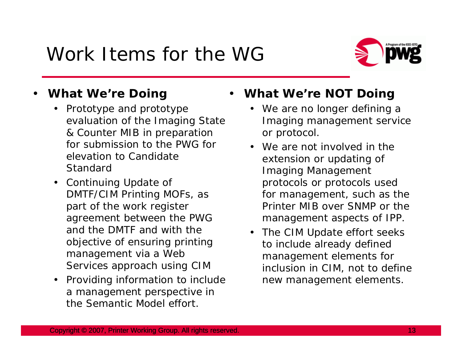## Work Items for the WG



#### •**What We're Doing**

- Prototype and prototype evaluation of the Imaging State & Counter MIB in preparation for submission to the PWG for elevation to Candidate Standard
- Continuing Update of DMTF/CIM Printing MOFs, as part of the work register agreement between the PWG and the DMTF and with the objective of ensuring printing management via a Web Services approach using CIM
- Providing information to include a management perspective in the Semantic Model effort.

#### •**What We're NOT Doing**

- We are no longer defining a Imaging management service or protocol.
- We are not involved in the extension or updating of Imaging Management protocols or protocols used for management, such as the Printer MIB over SNMP or the management aspects of IPP.
- The CIM Update effort seeks to include already defined management elements for inclusion in CIM, not to define new management elements.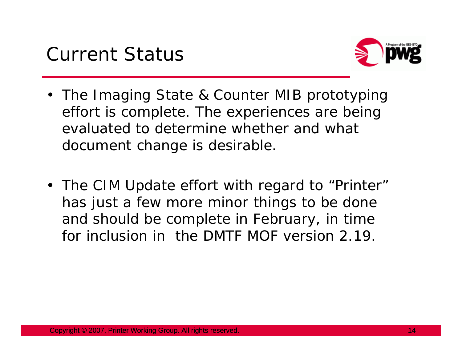

- The Imaging State & Counter MIB prototyping effort is complete. The experiences are being evaluated to determine whether and what document change is desirable.
- The CIM Update effort with regard to "Printer" has just a few more minor things to be done and should be complete in February, in time for inclusion in the DMTF MOF version 2.19.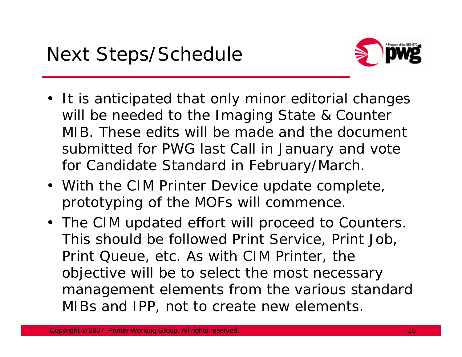

- It is anticipated that only minor editorial changes will be needed to the Imaging State & Counter MIB. These edits will be made and the document submitted for PWG last Call in January and vote for Candidate Standard in February/March.
- With the CIM Printer Device update complete, prototyping of the MOFs will commence.
- The CIM updated effort will proceed to Counters. This should be followed Print Service, Print Job, Print Queue, etc. As with CIM Printer, the objective will be to select the most necessary management elements from the various standard MIBs and IPP, not to create new elements.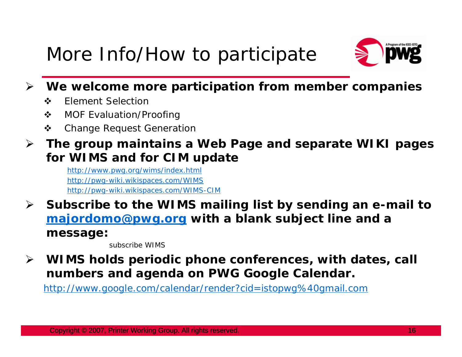## More Info/How to participate



- $\blacktriangleright$  **We welcome more participation from member companies**
	- $\frac{1}{2}$ Element Selection
	- $\frac{1}{2}$ MOF Evaluation/Proofing
	- $\mathbf{r}$ Change Request Generation
- ¾ **The group maintains a Web Page and separate WIKI pages for WIMS and for CIM update**

http://www.pwg.org/wims/index.html http://pwg-wiki.wikispaces.com/WIMS http://pwg-wiki.wikispaces.com/WIMS-CIM

¾ **Subscribe to the WIMS mailing list by sending an e-mail to majordomo@pwg.org with a blank subject line and a message:**

subscribe WIMS

 $\blacktriangleright$  **WIMS holds periodic phone conferences, with dates, call numbers and agenda on PWG Google Calendar.**

http://www.google.com/calendar/render?cid=istopwg%40gmail.com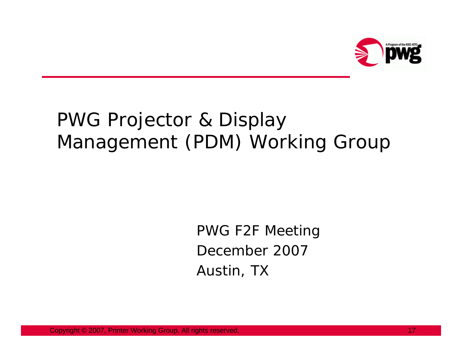

## PWG Projector & Display Management (PDM) Working Group

PWG F2F Meeting December 2007Austin, TX

Copyright © 2007, Printer Working Group. All rights reserved. 17 All 17 November 2008 17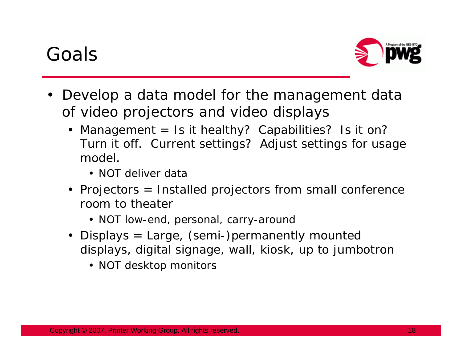## Goals



- Develop a data model for the management data of video projectors and video displays
	- Management = Is it healthy? Capabilities? Is it on? Turn it off. Current settings? Adjust settings for usage model.
		- NOT deliver data
	- Projectors = Installed projectors from small conference room to theater
		- NOT low-end, personal, carry-around
	- Displays = Large, (semi-)permanently mounted displays, digital signage, wall, kiosk, up to jumbotron
		- NOT desktop monitors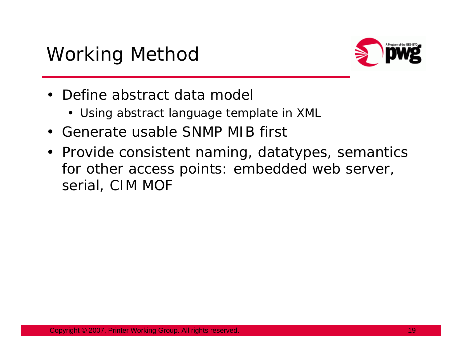

- $\bullet$  Define abstract data model
	- Using abstract language template in XML
- Generate usable SNMP MIB first
- Provide consistent naming, datatypes, semantics for other access points: embedded web server, serial, CIM MOF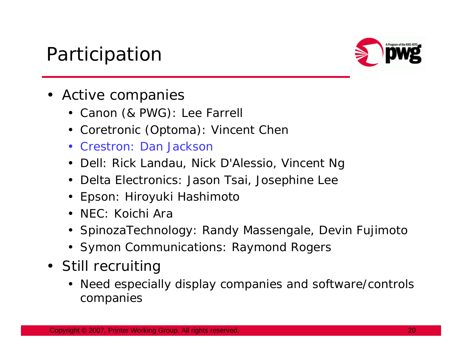### Participation



- Active companies
	- Canon (& PWG): Lee Farrell
	- Coretronic (Optoma): Vincent Chen
	- Crestron: Dan Jackson
	- Dell: Rick Landau, Nick D'Alessio, Vincent Ng
	- Delta Electronics: Jason Tsai, Josephine Lee
	- Epson: Hiroyuki Hashimoto
	- NEC: Koichi Ara
	- SpinozaTechnology: Randy Massengale, Devin Fujimoto
	- Symon Communications: Raymond Rogers
- Still recruiting
	- Need especially display companies and software/controls companies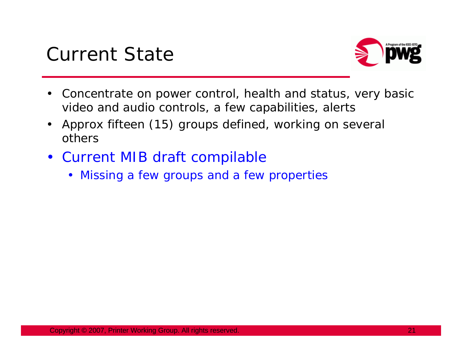



- • Concentrate on power control, health and status, very basic video and audio controls, a few capabilities, alerts
- • Approx fifteen (15) groups defined, working on several others
- Current MIB draft compilable
	- Missing a few groups and a few properties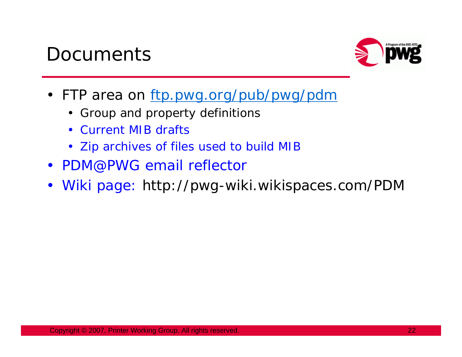### **Documents**



- FTP area on ftp.pwg.org/pub/pwg/pdn
	- Group and property definitions
	- Current MIB drafts
	- Zip archives of files used to build MIB
- PDM@PWG email reflector
- Wiki page: http://pwg-wiki.wikispaces.com/PDM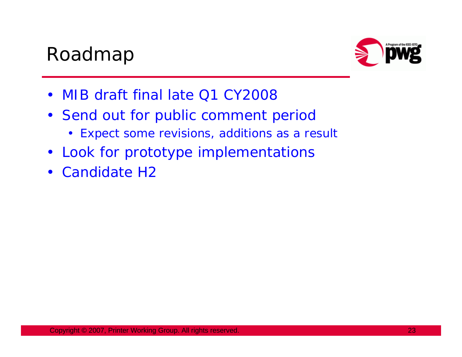### Roadmap



- $\bullet$ MIB draft final late Q1 CY2008
- Send out for public comment period
	- Expect some revisions, additions as a result
- $\bullet$ Look for prototype implementations
- $\bullet$ Candidate H2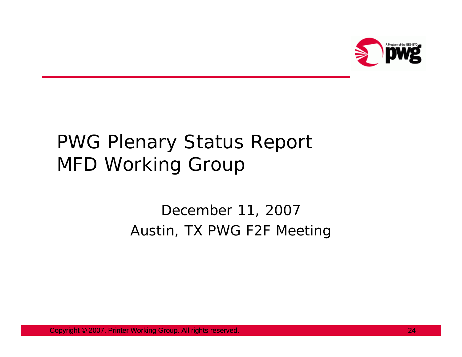

## PWG Plenary Status Report MFD Working Group

#### December 11, 2007 Austin, TX PWG F2F Meeting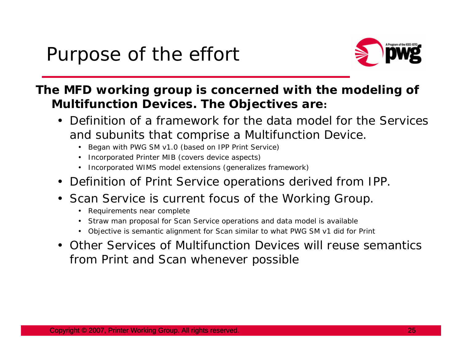

#### **The MFD working group is concerned with the modeling of Multifunction Devices. The Objectives are:**

- Definition of a framework for the data model for the Services and subunits that comprise a Multifunction Device.
	- Began with PWG SM v1.0 (based on IPP Print Service)
	- Incorporated Printer MIB (covers device aspects)
	- Incorporated WIMS model extensions (generalizes framework)
- Definition of Print Service operations derived from IPP.
- Scan Service is current focus of the Working Group.
	- Requirements near complete
	- •Straw man proposal for Scan Service operations and data model is available
	- Objective is semantic alignment for Scan similar to what PWG SM v1 did for Print
- Other Services of Multifunction Devices will reuse semantics from Print and Scan whenever possible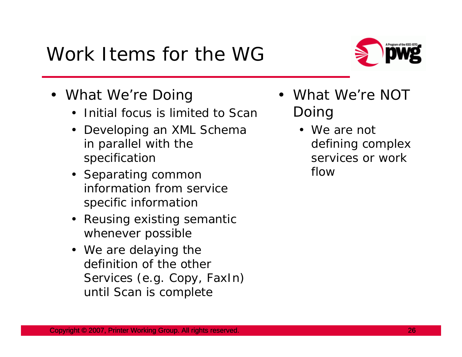## Work Items for the WG

- What We're Doing
	- Initial focus is limited to Scan
	- Developing an XML Schema in parallel with the specification
	- Separating common information from service specific information
	- Reusing existing semantic whenever possible
	- We are delaying the definition of the other Services (e.g. Copy, FaxIn) until Scan is complete
- • What We're NOT Doing
	- We are not defining complex services or work flow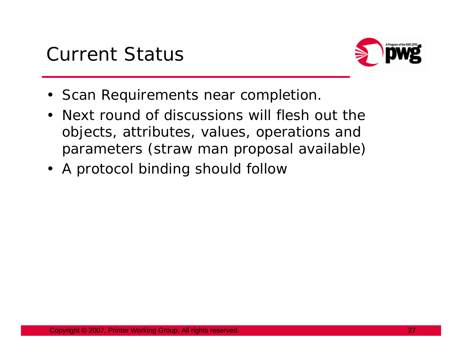

- Scan Requirements near completion.
- Next round of discussions will flesh out the objects, attributes, values, operations and parameters (straw man proposal available)
- A protocol binding should follow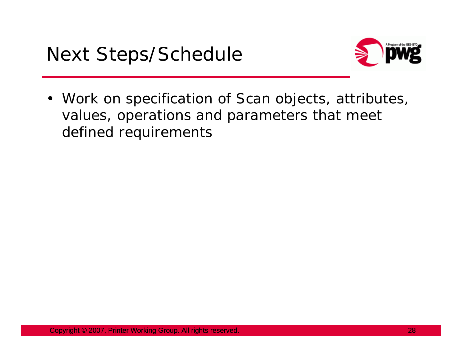

• Work on specification of Scan objects, attributes, values, operations and parameters that meet defined requirements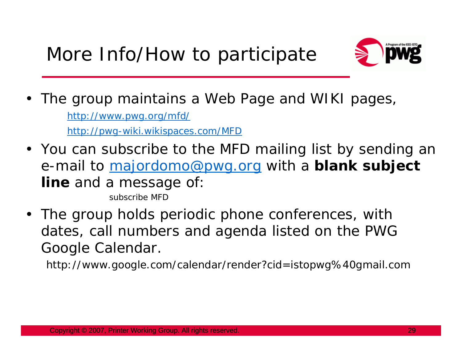

• The group maintains a Web Page and WIKI pages,

http://www.pwg.org/mfd/

http://pwg-wiki.wikispaces.com/MFD

- You can subscribe to the MFD mailing list by sending an e-mail to majordomo@pwg.org with a **blank subject line** and a message of: subscribe MFD
- The group holds periodic phone conferences, with dates, call numbers and agenda listed on the PWG Google Calendar.

http://www.google.com/calendar/render?cid=istopwg%40gmail.com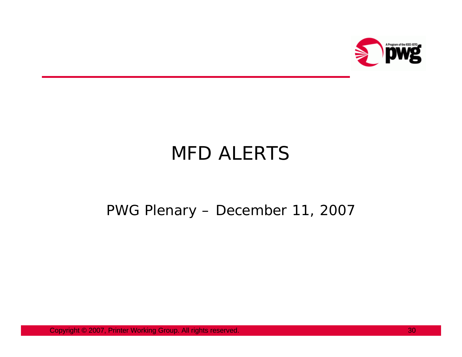

## MFD ALERTS

#### PWG Plenary – December 11, 2007

Copyright © 2007, Printer Working Group. All rights reserved. 30 30 30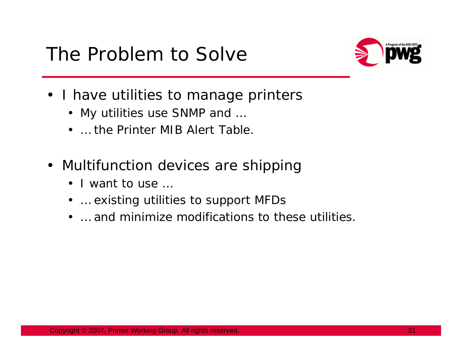### The Problem to Solve



- I have utilities to manage printers
	- My utilities use SNMP and …
	- … the Printer MIB Alert Table.
- Multifunction devices are shipping
	- I want to use ..
	- … existing utilities to support MFDs
	- … and minimize modifications to these utilities.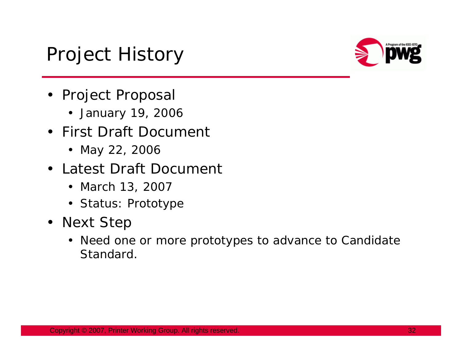## Project History



- Project Proposal
	- January 19, 2006
- First Draft Document
	- May 22, 2006
- Latest Draft Document
	- March 13, 2007
	- Status: Prototype
- Next Step
	- Need one or more prototypes to advance to Candidate Standard.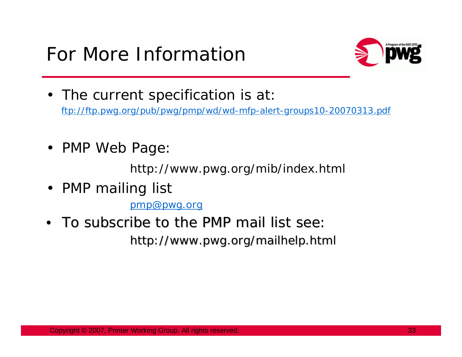

- The current specification is at ftp://ftp.pwg.org/pub/pwg/pmp/wd/wd-mfp-alert-groups10-20070313.pdf
- PMP Web Page:

http://www.pwg.org/mib/index.html

• PMP mailing list

pmp@pwg.org

 $\bullet~$  To subscribe to the PMP mail list see:

http://www.pwg.org/mailhelp.html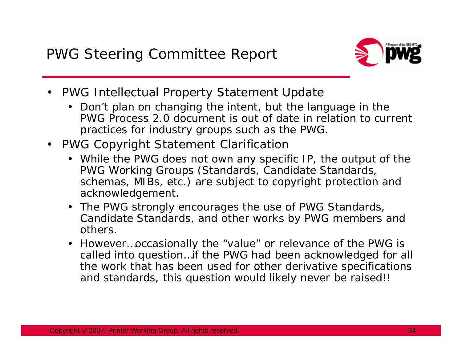

- PWG Intellectual Property Statement Update
	- Don't plan on changing the intent, but the language in the PWG Process 2.0 document is out of date in relation to current practices for industry groups such as the PWG.
- PWG Copyright Statement Clarificatior
	- While the PWG does not own any specific IP, the output of the PWG Working Groups (Standards, Candidate Standards, schemas, MIBs, etc.) are subject to copyright protection and acknowledgement.
	- The PWG strongly encourages the use of PWG Standards, Candidate Standards, and other works by PWG members and others.
	- However…occasionally the "value" or relevance of the PWG is called into question…if the PWG had been acknowledged for all the work that has been used for other derivative specifications and standards, this question would likely never be raised!!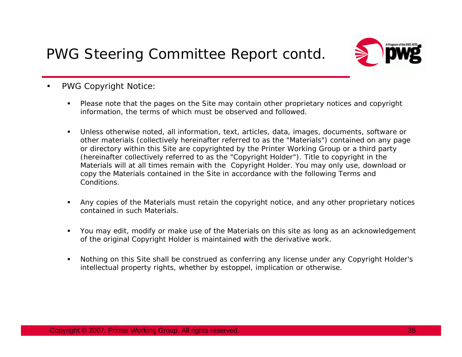

- • PWG Copyright Notice:
	- n Please note that the pages on the Site may contain other proprietary notices and copyright information, the terms of which must be observed and followed.
	- $\blacksquare$  Unless otherwise noted, all information, text, articles, data, images, documents, software or other materials (collectively hereinafter referred to as the "Materials") contained on any page or directory within this Site are copyrighted by the Printer Working Group or a third party (hereinafter collectively referred to as the "Copyright Holder"). Title to copyright in the Materials will at all times remain with the Copyright Holder. You may only use, download or copy the Materials contained in the Site in accordance with the following Terms and Conditions.
	- n Any copies of the Materials must retain the copyright notice, and any other proprietary notices contained in such Materials.
	- You may edit, modify or make use of the Materials on this site as long as an acknowledgement of the original Copyright Holder is maintained with the derivative work.
	- n Nothing on this Site shall be construed as conferring any license under any Copyright Holder's intellectual property rights, whether by estoppel, implication or otherwise.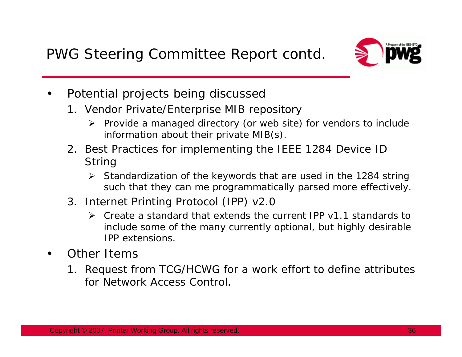

- • Potential projects being discussed
	- 1. Vendor Private/Enterprise MIB repository
		- ¾ Provide a managed directory (or web site) for vendors to include information about their private MIB(s).
	- 2. Best Practices for implementing the IEEE 1284 Device ID **String** 
		- ¾ Standardization of the keywords that are used in the 1284 string such that they can me programmatically parsed more effectively.
	- 3. Internet Printing Protocol (IPP) v2.0
		- ¾ Create a standard that extends the current IPP v1.1 standards to include some of the many currently optional, but highly desirable IPP extensions.
- • Other Items
	- 1. Request from TCG/HCWG for a work effort to define attributes for Network Access Control.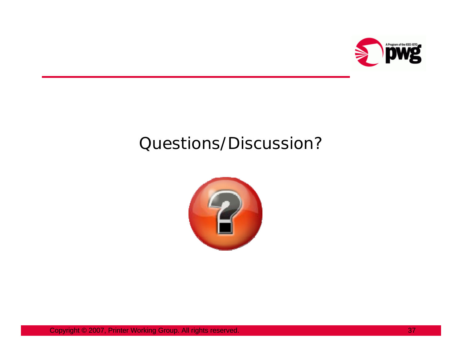

#### Questions/Discussion?

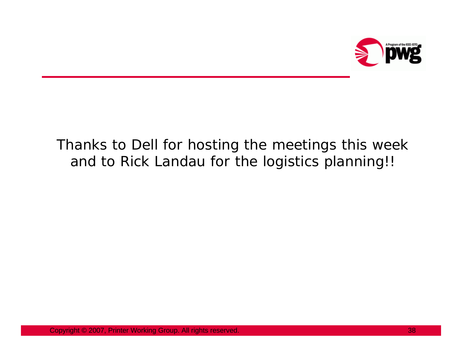

#### Thanks to Dell for hosting the meetings this week and to Rick Landau for the logistics planning!!